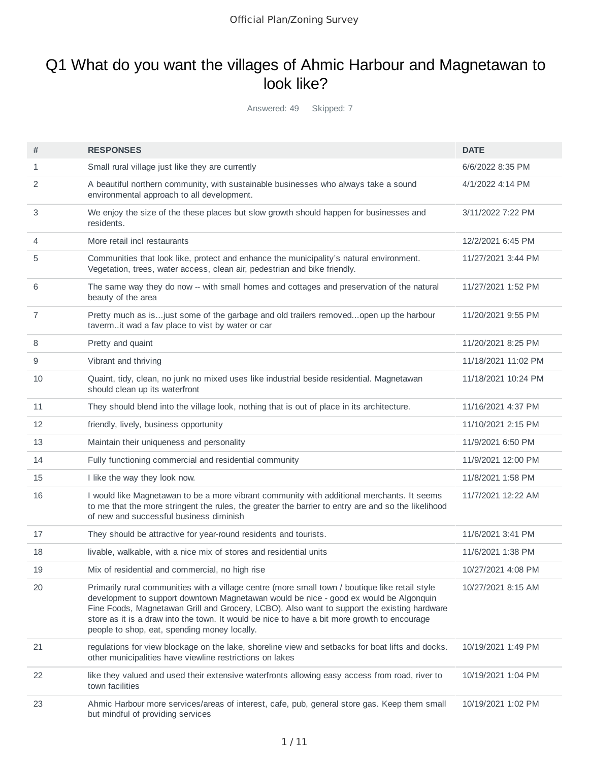### Q1 What do you want the villages of Ahmic Harbour and Magnetawan to look like?

Answered: 49 Skipped: 7

| #  | <b>RESPONSES</b>                                                                                                                                                                                                                                                                                                                                                                                                                        | <b>DATE</b>         |
|----|-----------------------------------------------------------------------------------------------------------------------------------------------------------------------------------------------------------------------------------------------------------------------------------------------------------------------------------------------------------------------------------------------------------------------------------------|---------------------|
| 1  | Small rural village just like they are currently                                                                                                                                                                                                                                                                                                                                                                                        | 6/6/2022 8:35 PM    |
| 2  | A beautiful northern community, with sustainable businesses who always take a sound<br>environmental approach to all development.                                                                                                                                                                                                                                                                                                       | 4/1/2022 4:14 PM    |
| 3  | We enjoy the size of the these places but slow growth should happen for businesses and<br>residents.                                                                                                                                                                                                                                                                                                                                    | 3/11/2022 7:22 PM   |
| 4  | More retail incl restaurants                                                                                                                                                                                                                                                                                                                                                                                                            | 12/2/2021 6:45 PM   |
| 5  | Communities that look like, protect and enhance the municipality's natural environment.<br>Vegetation, trees, water access, clean air, pedestrian and bike friendly.                                                                                                                                                                                                                                                                    | 11/27/2021 3:44 PM  |
| 6  | The same way they do now -- with small homes and cottages and preservation of the natural<br>beauty of the area                                                                                                                                                                                                                                                                                                                         | 11/27/2021 1:52 PM  |
| 7  | Pretty much as isjust some of the garbage and old trailers removedopen up the harbour<br>tavermit wad a fav place to vist by water or car                                                                                                                                                                                                                                                                                               | 11/20/2021 9:55 PM  |
| 8  | Pretty and quaint                                                                                                                                                                                                                                                                                                                                                                                                                       | 11/20/2021 8:25 PM  |
| 9  | Vibrant and thriving                                                                                                                                                                                                                                                                                                                                                                                                                    | 11/18/2021 11:02 PM |
| 10 | Quaint, tidy, clean, no junk no mixed uses like industrial beside residential. Magnetawan<br>should clean up its waterfront                                                                                                                                                                                                                                                                                                             | 11/18/2021 10:24 PM |
| 11 | They should blend into the village look, nothing that is out of place in its architecture.                                                                                                                                                                                                                                                                                                                                              | 11/16/2021 4:37 PM  |
| 12 | friendly, lively, business opportunity                                                                                                                                                                                                                                                                                                                                                                                                  | 11/10/2021 2:15 PM  |
| 13 | Maintain their uniqueness and personality                                                                                                                                                                                                                                                                                                                                                                                               | 11/9/2021 6:50 PM   |
| 14 | Fully functioning commercial and residential community                                                                                                                                                                                                                                                                                                                                                                                  | 11/9/2021 12:00 PM  |
| 15 | I like the way they look now.                                                                                                                                                                                                                                                                                                                                                                                                           | 11/8/2021 1:58 PM   |
| 16 | I would like Magnetawan to be a more vibrant community with additional merchants. It seems<br>to me that the more stringent the rules, the greater the barrier to entry are and so the likelihood<br>of new and successful business diminish                                                                                                                                                                                            | 11/7/2021 12:22 AM  |
| 17 | They should be attractive for year-round residents and tourists.                                                                                                                                                                                                                                                                                                                                                                        | 11/6/2021 3:41 PM   |
| 18 | livable, walkable, with a nice mix of stores and residential units                                                                                                                                                                                                                                                                                                                                                                      | 11/6/2021 1:38 PM   |
| 19 | Mix of residential and commercial, no high rise                                                                                                                                                                                                                                                                                                                                                                                         | 10/27/2021 4:08 PM  |
| 20 | Primarily rural communities with a village centre (more small town / boutique like retail style<br>development to support downtown Magnetawan would be nice - good ex would be Algonquin<br>Fine Foods, Magnetawan Grill and Grocery, LCBO). Also want to support the existing hardware<br>store as it is a draw into the town. It would be nice to have a bit more growth to encourage<br>people to shop, eat, spending money locally. | 10/27/2021 8:15 AM  |
| 21 | regulations for view blockage on the lake, shoreline view and setbacks for boat lifts and docks.<br>other municipalities have viewline restrictions on lakes                                                                                                                                                                                                                                                                            | 10/19/2021 1:49 PM  |
| 22 | like they valued and used their extensive waterfronts allowing easy access from road, river to<br>town facilities                                                                                                                                                                                                                                                                                                                       | 10/19/2021 1:04 PM  |
| 23 | Ahmic Harbour more services/areas of interest, cafe, pub, general store gas. Keep them small<br>but mindful of providing services                                                                                                                                                                                                                                                                                                       | 10/19/2021 1:02 PM  |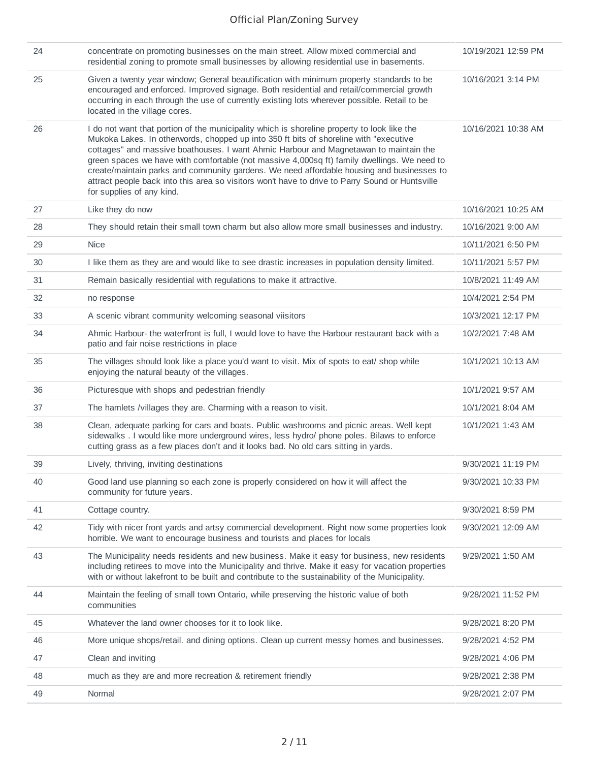| 24 | concentrate on promoting businesses on the main street. Allow mixed commercial and<br>residential zoning to promote small businesses by allowing residential use in basements.                                                                                                                                                                                                                                                                                                                                                                                                                            | 10/19/2021 12:59 PM |
|----|-----------------------------------------------------------------------------------------------------------------------------------------------------------------------------------------------------------------------------------------------------------------------------------------------------------------------------------------------------------------------------------------------------------------------------------------------------------------------------------------------------------------------------------------------------------------------------------------------------------|---------------------|
| 25 | Given a twenty year window; General beautification with minimum property standards to be<br>encouraged and enforced. Improved signage. Both residential and retail/commercial growth<br>occurring in each through the use of currently existing lots wherever possible. Retail to be<br>located in the village cores.                                                                                                                                                                                                                                                                                     | 10/16/2021 3:14 PM  |
| 26 | I do not want that portion of the municipality which is shoreline property to look like the<br>Mukoka Lakes. In otherwords, chopped up into 350 ft bits of shoreline with "executive<br>cottages" and massive boathouses. I want Ahmic Harbour and Magnetawan to maintain the<br>green spaces we have with comfortable (not massive 4,000sq ft) family dwellings. We need to<br>create/maintain parks and community gardens. We need affordable housing and businesses to<br>attract people back into this area so visitors won't have to drive to Parry Sound or Huntsville<br>for supplies of any kind. | 10/16/2021 10:38 AM |
| 27 | Like they do now                                                                                                                                                                                                                                                                                                                                                                                                                                                                                                                                                                                          | 10/16/2021 10:25 AM |
| 28 | They should retain their small town charm but also allow more small businesses and industry.                                                                                                                                                                                                                                                                                                                                                                                                                                                                                                              | 10/16/2021 9:00 AM  |
| 29 | <b>Nice</b>                                                                                                                                                                                                                                                                                                                                                                                                                                                                                                                                                                                               | 10/11/2021 6:50 PM  |
| 30 | I like them as they are and would like to see drastic increases in population density limited.                                                                                                                                                                                                                                                                                                                                                                                                                                                                                                            | 10/11/2021 5:57 PM  |
| 31 | Remain basically residential with regulations to make it attractive.                                                                                                                                                                                                                                                                                                                                                                                                                                                                                                                                      | 10/8/2021 11:49 AM  |
| 32 | no response                                                                                                                                                                                                                                                                                                                                                                                                                                                                                                                                                                                               | 10/4/2021 2:54 PM   |
| 33 | A scenic vibrant community welcoming seasonal viisitors                                                                                                                                                                                                                                                                                                                                                                                                                                                                                                                                                   | 10/3/2021 12:17 PM  |
| 34 | Ahmic Harbour- the waterfront is full, I would love to have the Harbour restaurant back with a<br>patio and fair noise restrictions in place                                                                                                                                                                                                                                                                                                                                                                                                                                                              | 10/2/2021 7:48 AM   |
| 35 | The villages should look like a place you'd want to visit. Mix of spots to eat/ shop while<br>enjoying the natural beauty of the villages.                                                                                                                                                                                                                                                                                                                                                                                                                                                                | 10/1/2021 10:13 AM  |
| 36 | Picturesque with shops and pedestrian friendly                                                                                                                                                                                                                                                                                                                                                                                                                                                                                                                                                            | 10/1/2021 9:57 AM   |
| 37 | The hamlets /villages they are. Charming with a reason to visit.                                                                                                                                                                                                                                                                                                                                                                                                                                                                                                                                          | 10/1/2021 8:04 AM   |
| 38 | Clean, adequate parking for cars and boats. Public washrooms and picnic areas. Well kept<br>sidewalks. I would like more underground wires, less hydro/ phone poles. Bilaws to enforce<br>cutting grass as a few places don't and it looks bad. No old cars sitting in yards.                                                                                                                                                                                                                                                                                                                             | 10/1/2021 1:43 AM   |
| 39 | Lively, thriving, inviting destinations                                                                                                                                                                                                                                                                                                                                                                                                                                                                                                                                                                   | 9/30/2021 11:19 PM  |
| 40 | Good land use planning so each zone is properly considered on how it will affect the<br>community for future years.                                                                                                                                                                                                                                                                                                                                                                                                                                                                                       | 9/30/2021 10:33 PM  |
| 41 | Cottage country.                                                                                                                                                                                                                                                                                                                                                                                                                                                                                                                                                                                          | 9/30/2021 8:59 PM   |
| 42 | Tidy with nicer front yards and artsy commercial development. Right now some properties look<br>horrible. We want to encourage business and tourists and places for locals                                                                                                                                                                                                                                                                                                                                                                                                                                | 9/30/2021 12:09 AM  |
| 43 | The Municipality needs residents and new business. Make it easy for business, new residents<br>including retirees to move into the Municipality and thrive. Make it easy for vacation properties<br>with or without lakefront to be built and contribute to the sustainability of the Municipality.                                                                                                                                                                                                                                                                                                       | 9/29/2021 1:50 AM   |
| 44 | Maintain the feeling of small town Ontario, while preserving the historic value of both<br>communities                                                                                                                                                                                                                                                                                                                                                                                                                                                                                                    | 9/28/2021 11:52 PM  |
| 45 | Whatever the land owner chooses for it to look like.                                                                                                                                                                                                                                                                                                                                                                                                                                                                                                                                                      | 9/28/2021 8:20 PM   |
| 46 | More unique shops/retail. and dining options. Clean up current messy homes and businesses.                                                                                                                                                                                                                                                                                                                                                                                                                                                                                                                | 9/28/2021 4:52 PM   |
| 47 | Clean and inviting                                                                                                                                                                                                                                                                                                                                                                                                                                                                                                                                                                                        | 9/28/2021 4:06 PM   |
| 48 | much as they are and more recreation & retirement friendly                                                                                                                                                                                                                                                                                                                                                                                                                                                                                                                                                | 9/28/2021 2:38 PM   |
| 49 | Normal                                                                                                                                                                                                                                                                                                                                                                                                                                                                                                                                                                                                    | 9/28/2021 2:07 PM   |
|    |                                                                                                                                                                                                                                                                                                                                                                                                                                                                                                                                                                                                           |                     |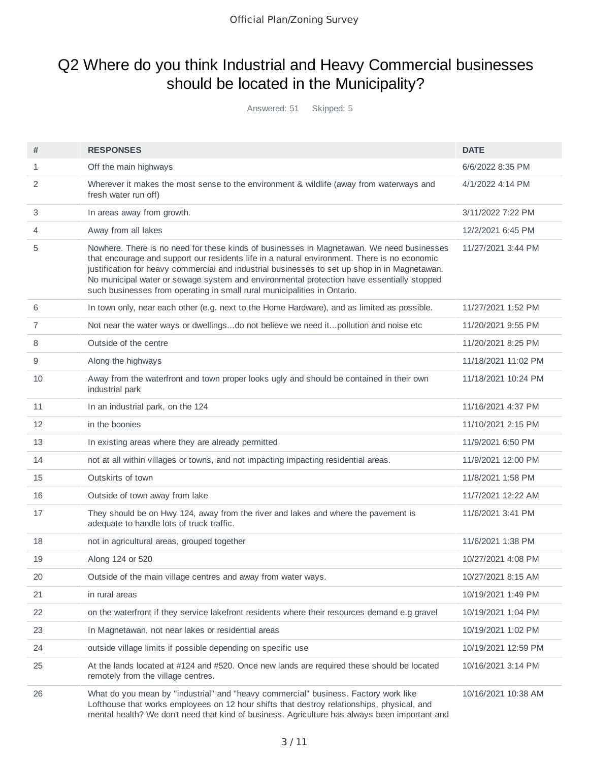# Q2 Where do you think Industrial and Heavy Commercial businesses should be located in the Municipality?

Answered: 51 Skipped: 5

| #            | <b>RESPONSES</b>                                                                                                                                                                                                                                                                                                                                                                                                                                                    | <b>DATE</b>         |
|--------------|---------------------------------------------------------------------------------------------------------------------------------------------------------------------------------------------------------------------------------------------------------------------------------------------------------------------------------------------------------------------------------------------------------------------------------------------------------------------|---------------------|
| $\mathbf{1}$ | Off the main highways                                                                                                                                                                                                                                                                                                                                                                                                                                               | 6/6/2022 8:35 PM    |
| 2            | Wherever it makes the most sense to the environment $&$ wildlife (away from waterways and<br>fresh water run off)                                                                                                                                                                                                                                                                                                                                                   | 4/1/2022 4:14 PM    |
| 3            | In areas away from growth.                                                                                                                                                                                                                                                                                                                                                                                                                                          | 3/11/2022 7:22 PM   |
| 4            | Away from all lakes                                                                                                                                                                                                                                                                                                                                                                                                                                                 | 12/2/2021 6:45 PM   |
| 5            | Nowhere. There is no need for these kinds of businesses in Magnetawan. We need businesses<br>that encourage and support our residents life in a natural environment. There is no economic<br>justification for heavy commercial and industrial businesses to set up shop in in Magnetawan.<br>No municipal water or sewage system and environmental protection have essentially stopped<br>such businesses from operating in small rural municipalities in Ontario. | 11/27/2021 3:44 PM  |
| 6            | In town only, near each other (e.g. next to the Home Hardware), and as limited as possible.                                                                                                                                                                                                                                                                                                                                                                         | 11/27/2021 1:52 PM  |
| 7            | Not near the water ways or dwellingsdo not believe we need itpollution and noise etc                                                                                                                                                                                                                                                                                                                                                                                | 11/20/2021 9:55 PM  |
| 8            | Outside of the centre                                                                                                                                                                                                                                                                                                                                                                                                                                               | 11/20/2021 8:25 PM  |
| 9            | Along the highways                                                                                                                                                                                                                                                                                                                                                                                                                                                  | 11/18/2021 11:02 PM |
| 10           | Away from the waterfront and town proper looks ugly and should be contained in their own<br>industrial park                                                                                                                                                                                                                                                                                                                                                         | 11/18/2021 10:24 PM |
| 11           | In an industrial park, on the 124                                                                                                                                                                                                                                                                                                                                                                                                                                   | 11/16/2021 4:37 PM  |
| 12           | in the boonies                                                                                                                                                                                                                                                                                                                                                                                                                                                      | 11/10/2021 2:15 PM  |
| 13           | In existing areas where they are already permitted                                                                                                                                                                                                                                                                                                                                                                                                                  | 11/9/2021 6:50 PM   |
| 14           | not at all within villages or towns, and not impacting impacting residential areas.                                                                                                                                                                                                                                                                                                                                                                                 | 11/9/2021 12:00 PM  |
| 15           | Outskirts of town                                                                                                                                                                                                                                                                                                                                                                                                                                                   | 11/8/2021 1:58 PM   |
| 16           | Outside of town away from lake                                                                                                                                                                                                                                                                                                                                                                                                                                      | 11/7/2021 12:22 AM  |
| 17           | They should be on Hwy 124, away from the river and lakes and where the pavement is<br>adequate to handle lots of truck traffic.                                                                                                                                                                                                                                                                                                                                     | 11/6/2021 3:41 PM   |
| 18           | not in agricultural areas, grouped together                                                                                                                                                                                                                                                                                                                                                                                                                         | 11/6/2021 1:38 PM   |
| 19           | Along 124 or 520                                                                                                                                                                                                                                                                                                                                                                                                                                                    | 10/27/2021 4:08 PM  |
| 20           | Outside of the main village centres and away from water ways.                                                                                                                                                                                                                                                                                                                                                                                                       | 10/27/2021 8:15 AM  |
| 21           | in rural areas                                                                                                                                                                                                                                                                                                                                                                                                                                                      | 10/19/2021 1:49 PM  |
| 22           | on the waterfront if they service lakefront residents where their resources demand e.g gravel                                                                                                                                                                                                                                                                                                                                                                       | 10/19/2021 1:04 PM  |
| 23           | In Magnetawan, not near lakes or residential areas                                                                                                                                                                                                                                                                                                                                                                                                                  | 10/19/2021 1:02 PM  |
| 24           | outside village limits if possible depending on specific use                                                                                                                                                                                                                                                                                                                                                                                                        | 10/19/2021 12:59 PM |
| 25           | At the lands located at #124 and #520. Once new lands are required these should be located<br>remotely from the village centres.                                                                                                                                                                                                                                                                                                                                    | 10/16/2021 3:14 PM  |
| 26           | What do you mean by "industrial" and "heavy commercial" business. Factory work like<br>Lofthouse that works employees on 12 hour shifts that destroy relationships, physical, and<br>mental health? We don't need that kind of business. Agriculture has always been important and                                                                                                                                                                                  | 10/16/2021 10:38 AM |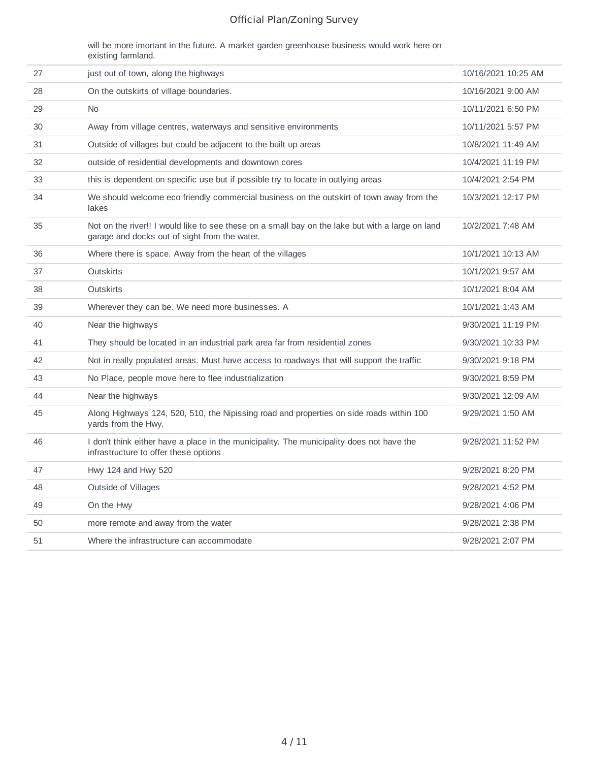will be more imortant in the future. A market garden greenhouse business would work here on existing farmland.

| 27 | just out of town, along the highways                                                                                                              | 10/16/2021 10:25 AM |
|----|---------------------------------------------------------------------------------------------------------------------------------------------------|---------------------|
| 28 | On the outskirts of village boundaries.                                                                                                           | 10/16/2021 9:00 AM  |
| 29 | <b>No</b>                                                                                                                                         | 10/11/2021 6:50 PM  |
| 30 | Away from village centres, waterways and sensitive environments                                                                                   | 10/11/2021 5:57 PM  |
| 31 | Outside of villages but could be adjacent to the built up areas                                                                                   | 10/8/2021 11:49 AM  |
| 32 | outside of residential developments and downtown cores                                                                                            | 10/4/2021 11:19 PM  |
| 33 | this is dependent on specific use but if possible try to locate in outlying areas                                                                 | 10/4/2021 2:54 PM   |
| 34 | We should welcome eco friendly commercial business on the outskirt of town away from the<br>lakes                                                 | 10/3/2021 12:17 PM  |
| 35 | Not on the river!! I would like to see these on a small bay on the lake but with a large on land<br>garage and docks out of sight from the water. | 10/2/2021 7:48 AM   |
| 36 | Where there is space. Away from the heart of the villages                                                                                         | 10/1/2021 10:13 AM  |
| 37 | <b>Outskirts</b>                                                                                                                                  | 10/1/2021 9:57 AM   |
| 38 | <b>Outskirts</b>                                                                                                                                  | 10/1/2021 8:04 AM   |
| 39 | Wherever they can be. We need more businesses. A                                                                                                  | 10/1/2021 1:43 AM   |
| 40 | Near the highways                                                                                                                                 | 9/30/2021 11:19 PM  |
| 41 | They should be located in an industrial park area far from residential zones                                                                      | 9/30/2021 10:33 PM  |
| 42 | Not in really populated areas. Must have access to roadways that will support the traffic                                                         | 9/30/2021 9:18 PM   |
| 43 | No Place, people move here to flee industrialization                                                                                              | 9/30/2021 8:59 PM   |
| 44 | Near the highways                                                                                                                                 | 9/30/2021 12:09 AM  |
| 45 | Along Highways 124, 520, 510, the Nipissing road and properties on side roads within 100<br>yards from the Hwy.                                   | 9/29/2021 1:50 AM   |
| 46 | I don't think either have a place in the municipality. The municipality does not have the<br>infrastructure to offer these options                | 9/28/2021 11:52 PM  |
| 47 | Hwy 124 and Hwy 520                                                                                                                               | 9/28/2021 8:20 PM   |
| 48 | Outside of Villages                                                                                                                               | 9/28/2021 4:52 PM   |
| 49 | On the Hwy                                                                                                                                        | 9/28/2021 4:06 PM   |
| 50 | more remote and away from the water                                                                                                               | 9/28/2021 2:38 PM   |
| 51 | Where the infrastructure can accommodate                                                                                                          | 9/28/2021 2:07 PM   |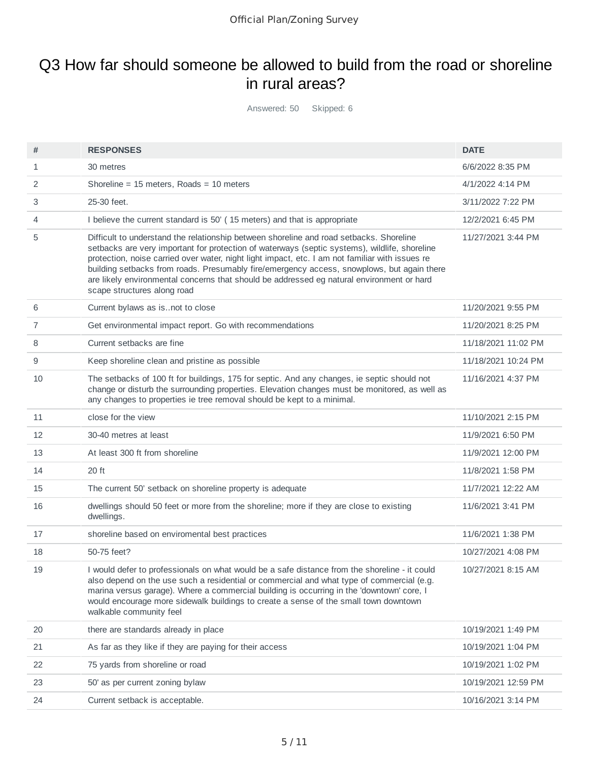# Q3 How far should someone be allowed to build from the road or shoreline in rural areas?

Answered: 50 Skipped: 6

| #  | <b>RESPONSES</b>                                                                                                                                                                                                                                                                                                                                                                                                                                                                                                      | <b>DATE</b>         |
|----|-----------------------------------------------------------------------------------------------------------------------------------------------------------------------------------------------------------------------------------------------------------------------------------------------------------------------------------------------------------------------------------------------------------------------------------------------------------------------------------------------------------------------|---------------------|
| 1  | 30 metres                                                                                                                                                                                                                                                                                                                                                                                                                                                                                                             | 6/6/2022 8:35 PM    |
| 2  | Shoreline = $15$ meters, Roads = $10$ meters                                                                                                                                                                                                                                                                                                                                                                                                                                                                          | 4/1/2022 4:14 PM    |
| 3  | 25-30 feet.                                                                                                                                                                                                                                                                                                                                                                                                                                                                                                           | 3/11/2022 7:22 PM   |
| 4  | I believe the current standard is 50' (15 meters) and that is appropriate                                                                                                                                                                                                                                                                                                                                                                                                                                             | 12/2/2021 6:45 PM   |
| 5  | Difficult to understand the relationship between shoreline and road setbacks. Shoreline<br>setbacks are very important for protection of waterways (septic systems), wildlife, shoreline<br>protection, noise carried over water, night light impact, etc. I am not familiar with issues re<br>building setbacks from roads. Presumably fire/emergency access, snowplows, but again there<br>are likely environmental concerns that should be addressed eg natural environment or hard<br>scape structures along road | 11/27/2021 3:44 PM  |
| 6  | Current bylaws as isnot to close                                                                                                                                                                                                                                                                                                                                                                                                                                                                                      | 11/20/2021 9:55 PM  |
| 7  | Get environmental impact report. Go with recommendations                                                                                                                                                                                                                                                                                                                                                                                                                                                              | 11/20/2021 8:25 PM  |
| 8  | Current setbacks are fine                                                                                                                                                                                                                                                                                                                                                                                                                                                                                             | 11/18/2021 11:02 PM |
| 9  | Keep shoreline clean and pristine as possible                                                                                                                                                                                                                                                                                                                                                                                                                                                                         | 11/18/2021 10:24 PM |
| 10 | The setbacks of 100 ft for buildings, 175 for septic. And any changes, ie septic should not<br>change or disturb the surrounding properties. Elevation changes must be monitored, as well as<br>any changes to properties ie tree removal should be kept to a minimal.                                                                                                                                                                                                                                                | 11/16/2021 4:37 PM  |
| 11 | close for the view                                                                                                                                                                                                                                                                                                                                                                                                                                                                                                    | 11/10/2021 2:15 PM  |
| 12 | 30-40 metres at least                                                                                                                                                                                                                                                                                                                                                                                                                                                                                                 | 11/9/2021 6:50 PM   |
| 13 | At least 300 ft from shoreline                                                                                                                                                                                                                                                                                                                                                                                                                                                                                        | 11/9/2021 12:00 PM  |
| 14 | 20 ft                                                                                                                                                                                                                                                                                                                                                                                                                                                                                                                 | 11/8/2021 1:58 PM   |
| 15 | The current 50' setback on shoreline property is adequate                                                                                                                                                                                                                                                                                                                                                                                                                                                             | 11/7/2021 12:22 AM  |
| 16 | dwellings should 50 feet or more from the shoreline; more if they are close to existing<br>dwellings.                                                                                                                                                                                                                                                                                                                                                                                                                 | 11/6/2021 3:41 PM   |
| 17 | shoreline based on enviromental best practices                                                                                                                                                                                                                                                                                                                                                                                                                                                                        | 11/6/2021 1:38 PM   |
| 18 | 50-75 feet?                                                                                                                                                                                                                                                                                                                                                                                                                                                                                                           | 10/27/2021 4:08 PM  |
| 19 | I would defer to professionals on what would be a safe distance from the shoreline - it could<br>also depend on the use such a residential or commercial and what type of commercial (e.g.<br>marina versus garage). Where a commercial building is occurring in the 'downtown' core, I<br>would encourage more sidewalk buildings to create a sense of the small town downtown<br>walkable community feel                                                                                                            | 10/27/2021 8:15 AM  |
| 20 | there are standards already in place                                                                                                                                                                                                                                                                                                                                                                                                                                                                                  | 10/19/2021 1:49 PM  |
| 21 | As far as they like if they are paying for their access                                                                                                                                                                                                                                                                                                                                                                                                                                                               | 10/19/2021 1:04 PM  |
| 22 | 75 yards from shoreline or road                                                                                                                                                                                                                                                                                                                                                                                                                                                                                       | 10/19/2021 1:02 PM  |
| 23 | 50' as per current zoning bylaw                                                                                                                                                                                                                                                                                                                                                                                                                                                                                       | 10/19/2021 12:59 PM |
| 24 | Current setback is acceptable.                                                                                                                                                                                                                                                                                                                                                                                                                                                                                        | 10/16/2021 3:14 PM  |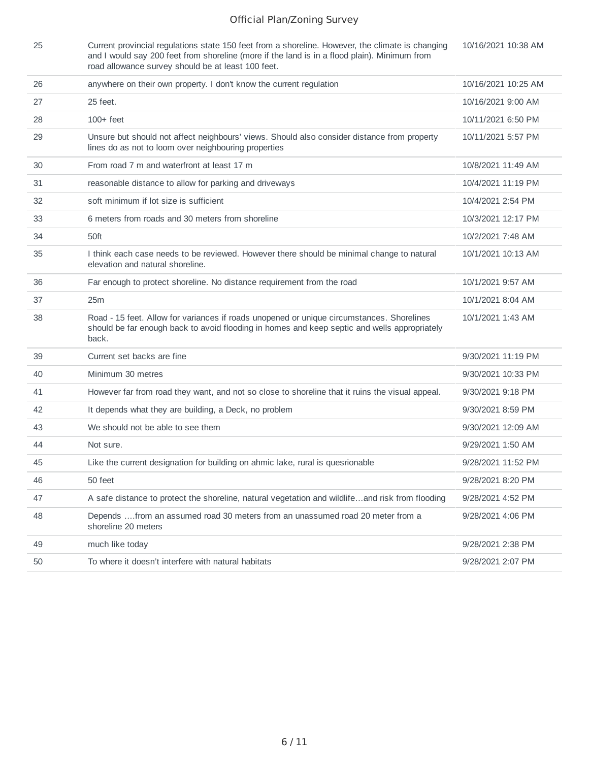| 25 | Current provincial regulations state 150 feet from a shoreline. However, the climate is changing<br>and I would say 200 feet from shoreline (more if the land is in a flood plain). Minimum from<br>road allowance survey should be at least 100 feet. | 10/16/2021 10:38 AM |
|----|--------------------------------------------------------------------------------------------------------------------------------------------------------------------------------------------------------------------------------------------------------|---------------------|
| 26 | anywhere on their own property. I don't know the current regulation                                                                                                                                                                                    | 10/16/2021 10:25 AM |
| 27 | 25 feet.                                                                                                                                                                                                                                               | 10/16/2021 9:00 AM  |
| 28 | $100+$ feet                                                                                                                                                                                                                                            | 10/11/2021 6:50 PM  |
| 29 | Unsure but should not affect neighbours' views. Should also consider distance from property<br>lines do as not to loom over neighbouring properties                                                                                                    | 10/11/2021 5:57 PM  |
| 30 | From road 7 m and waterfront at least 17 m                                                                                                                                                                                                             | 10/8/2021 11:49 AM  |
| 31 | reasonable distance to allow for parking and driveways                                                                                                                                                                                                 | 10/4/2021 11:19 PM  |
| 32 | soft minimum if lot size is sufficient                                                                                                                                                                                                                 | 10/4/2021 2:54 PM   |
| 33 | 6 meters from roads and 30 meters from shoreline                                                                                                                                                                                                       | 10/3/2021 12:17 PM  |
| 34 | 50ft                                                                                                                                                                                                                                                   | 10/2/2021 7:48 AM   |
| 35 | I think each case needs to be reviewed. However there should be minimal change to natural<br>elevation and natural shoreline.                                                                                                                          | 10/1/2021 10:13 AM  |
| 36 | Far enough to protect shoreline. No distance requirement from the road                                                                                                                                                                                 | 10/1/2021 9:57 AM   |
| 37 | 25m                                                                                                                                                                                                                                                    | 10/1/2021 8:04 AM   |
| 38 | Road - 15 feet. Allow for variances if roads unopened or unique circumstances. Shorelines<br>should be far enough back to avoid flooding in homes and keep septic and wells appropriately<br>back.                                                     | 10/1/2021 1:43 AM   |
| 39 | Current set backs are fine                                                                                                                                                                                                                             | 9/30/2021 11:19 PM  |
| 40 | Minimum 30 metres                                                                                                                                                                                                                                      | 9/30/2021 10:33 PM  |
| 41 | However far from road they want, and not so close to shoreline that it ruins the visual appeal.                                                                                                                                                        | 9/30/2021 9:18 PM   |
| 42 | It depends what they are building, a Deck, no problem                                                                                                                                                                                                  | 9/30/2021 8:59 PM   |
| 43 | We should not be able to see them                                                                                                                                                                                                                      | 9/30/2021 12:09 AM  |
| 44 | Not sure.                                                                                                                                                                                                                                              | 9/29/2021 1:50 AM   |
| 45 | Like the current designation for building on ahmic lake, rural is quesrionable                                                                                                                                                                         | 9/28/2021 11:52 PM  |
| 46 | 50 feet                                                                                                                                                                                                                                                | 9/28/2021 8:20 PM   |
| 47 | A safe distance to protect the shoreline, natural vegetation and wildlifeand risk from flooding                                                                                                                                                        | 9/28/2021 4:52 PM   |
| 48 | Depends from an assumed road 30 meters from an unassumed road 20 meter from a<br>shoreline 20 meters                                                                                                                                                   | 9/28/2021 4:06 PM   |
| 49 | much like today                                                                                                                                                                                                                                        | 9/28/2021 2:38 PM   |
| 50 | To where it doesn't interfere with natural habitats                                                                                                                                                                                                    | 9/28/2021 2:07 PM   |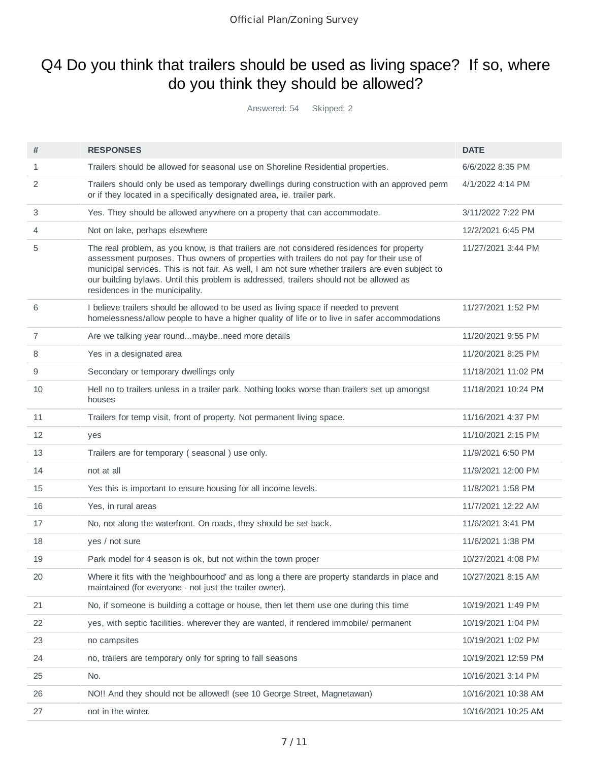# Q4 Do you think that trailers should be used as living space? If so, where do you think they should be allowed?

Answered: 54 Skipped: 2

| #              | <b>RESPONSES</b>                                                                                                                                                                                                                                                                                                                                                                                                          | <b>DATE</b>         |
|----------------|---------------------------------------------------------------------------------------------------------------------------------------------------------------------------------------------------------------------------------------------------------------------------------------------------------------------------------------------------------------------------------------------------------------------------|---------------------|
| $\mathbf{1}$   | Trailers should be allowed for seasonal use on Shoreline Residential properties.                                                                                                                                                                                                                                                                                                                                          | 6/6/2022 8:35 PM    |
| 2              | Trailers should only be used as temporary dwellings during construction with an approved perm<br>or if they located in a specifically designated area, ie. trailer park.                                                                                                                                                                                                                                                  | 4/1/2022 4:14 PM    |
| 3              | Yes. They should be allowed anywhere on a property that can accommodate.                                                                                                                                                                                                                                                                                                                                                  | 3/11/2022 7:22 PM   |
| $\overline{4}$ | Not on lake, perhaps elsewhere                                                                                                                                                                                                                                                                                                                                                                                            | 12/2/2021 6:45 PM   |
| 5              | The real problem, as you know, is that trailers are not considered residences for property<br>assessment purposes. Thus owners of properties with trailers do not pay for their use of<br>municipal services. This is not fair. As well, I am not sure whether trailers are even subject to<br>our building bylaws. Until this problem is addressed, trailers should not be allowed as<br>residences in the municipality. | 11/27/2021 3:44 PM  |
| 6              | I believe trailers should be allowed to be used as living space if needed to prevent<br>homelessness/allow people to have a higher quality of life or to live in safer accommodations                                                                                                                                                                                                                                     | 11/27/2021 1:52 PM  |
| 7              | Are we talking year roundmaybeneed more details                                                                                                                                                                                                                                                                                                                                                                           | 11/20/2021 9:55 PM  |
| 8              | Yes in a designated area                                                                                                                                                                                                                                                                                                                                                                                                  | 11/20/2021 8:25 PM  |
| 9              | Secondary or temporary dwellings only                                                                                                                                                                                                                                                                                                                                                                                     | 11/18/2021 11:02 PM |
| 10             | Hell no to trailers unless in a trailer park. Nothing looks worse than trailers set up amongst<br>houses                                                                                                                                                                                                                                                                                                                  | 11/18/2021 10:24 PM |
| 11             | Trailers for temp visit, front of property. Not permanent living space.                                                                                                                                                                                                                                                                                                                                                   | 11/16/2021 4:37 PM  |
| 12             | yes                                                                                                                                                                                                                                                                                                                                                                                                                       | 11/10/2021 2:15 PM  |
| 13             | Trailers are for temporary (seasonal) use only.                                                                                                                                                                                                                                                                                                                                                                           | 11/9/2021 6:50 PM   |
| 14             | not at all                                                                                                                                                                                                                                                                                                                                                                                                                | 11/9/2021 12:00 PM  |
| 15             | Yes this is important to ensure housing for all income levels.                                                                                                                                                                                                                                                                                                                                                            | 11/8/2021 1:58 PM   |
| 16             | Yes, in rural areas                                                                                                                                                                                                                                                                                                                                                                                                       | 11/7/2021 12:22 AM  |
| 17             | No, not along the waterfront. On roads, they should be set back.                                                                                                                                                                                                                                                                                                                                                          | 11/6/2021 3:41 PM   |
| 18             | yes / not sure                                                                                                                                                                                                                                                                                                                                                                                                            | 11/6/2021 1:38 PM   |
| 19             | Park model for 4 season is ok, but not within the town proper                                                                                                                                                                                                                                                                                                                                                             | 10/27/2021 4:08 PM  |
| 20             | Where it fits with the 'neighbourhood' and as long a there are property standards in place and<br>maintained (for everyone - not just the trailer owner).                                                                                                                                                                                                                                                                 | 10/27/2021 8:15 AM  |
| 21             | No, if someone is building a cottage or house, then let them use one during this time                                                                                                                                                                                                                                                                                                                                     | 10/19/2021 1:49 PM  |
| 22             | yes, with septic facilities. wherever they are wanted, if rendered immobile/ permanent                                                                                                                                                                                                                                                                                                                                    | 10/19/2021 1:04 PM  |
| 23             | no campsites                                                                                                                                                                                                                                                                                                                                                                                                              | 10/19/2021 1:02 PM  |
| 24             | no, trailers are temporary only for spring to fall seasons                                                                                                                                                                                                                                                                                                                                                                | 10/19/2021 12:59 PM |
| 25             | No.                                                                                                                                                                                                                                                                                                                                                                                                                       | 10/16/2021 3:14 PM  |
| 26             | NO!! And they should not be allowed! (see 10 George Street, Magnetawan)                                                                                                                                                                                                                                                                                                                                                   | 10/16/2021 10:38 AM |
| 27             | not in the winter.                                                                                                                                                                                                                                                                                                                                                                                                        | 10/16/2021 10:25 AM |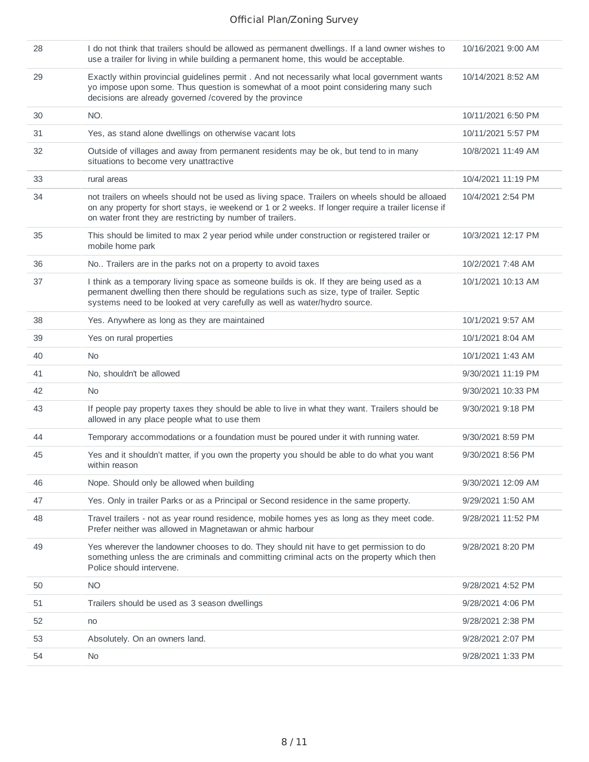| 28 | I do not think that trailers should be allowed as permanent dwellings. If a land owner wishes to<br>use a trailer for living in while building a permanent home, this would be acceptable.                                                                           | 10/16/2021 9:00 AM |
|----|----------------------------------------------------------------------------------------------------------------------------------------------------------------------------------------------------------------------------------------------------------------------|--------------------|
| 29 | Exactly within provincial guidelines permit . And not necessarily what local government wants<br>yo impose upon some. Thus question is somewhat of a moot point considering many such<br>decisions are already governed /covered by the province                     | 10/14/2021 8:52 AM |
| 30 | NO.                                                                                                                                                                                                                                                                  | 10/11/2021 6:50 PM |
| 31 | Yes, as stand alone dwellings on otherwise vacant lots                                                                                                                                                                                                               | 10/11/2021 5:57 PM |
| 32 | Outside of villages and away from permanent residents may be ok, but tend to in many<br>situations to become very unattractive                                                                                                                                       | 10/8/2021 11:49 AM |
| 33 | rural areas                                                                                                                                                                                                                                                          | 10/4/2021 11:19 PM |
| 34 | not trailers on wheels should not be used as living space. Trailers on wheels should be alloaed<br>on any property for short stays, ie weekend or 1 or 2 weeks. If longer require a trailer license if<br>on water front they are restricting by number of trailers. | 10/4/2021 2:54 PM  |
| 35 | This should be limited to max 2 year period while under construction or registered trailer or<br>mobile home park                                                                                                                                                    | 10/3/2021 12:17 PM |
| 36 | No Trailers are in the parks not on a property to avoid taxes                                                                                                                                                                                                        | 10/2/2021 7:48 AM  |
| 37 | I think as a temporary living space as someone builds is ok. If they are being used as a<br>permanent dwelling then there should be regulations such as size, type of trailer. Septic<br>systems need to be looked at very carefully as well as water/hydro source.  | 10/1/2021 10:13 AM |
| 38 | Yes. Anywhere as long as they are maintained                                                                                                                                                                                                                         | 10/1/2021 9:57 AM  |
| 39 | Yes on rural properties                                                                                                                                                                                                                                              | 10/1/2021 8:04 AM  |
| 40 | No.                                                                                                                                                                                                                                                                  | 10/1/2021 1:43 AM  |
| 41 | No, shouldn't be allowed                                                                                                                                                                                                                                             | 9/30/2021 11:19 PM |
| 42 | <b>No</b>                                                                                                                                                                                                                                                            | 9/30/2021 10:33 PM |
| 43 | If people pay property taxes they should be able to live in what they want. Trailers should be<br>allowed in any place people what to use them                                                                                                                       | 9/30/2021 9:18 PM  |
| 44 | Temporary accommodations or a foundation must be poured under it with running water.                                                                                                                                                                                 | 9/30/2021 8:59 PM  |
| 45 | Yes and it shouldn't matter, if you own the property you should be able to do what you want<br>within reason                                                                                                                                                         | 9/30/2021 8:56 PM  |
| 46 | Nope. Should only be allowed when building                                                                                                                                                                                                                           | 9/30/2021 12:09 AM |
| 47 | Yes. Only in trailer Parks or as a Principal or Second residence in the same property.                                                                                                                                                                               | 9/29/2021 1:50 AM  |
| 48 | Travel trailers - not as year round residence, mobile homes yes as long as they meet code.<br>Prefer neither was allowed in Magnetawan or ahmic harbour                                                                                                              | 9/28/2021 11:52 PM |
| 49 | Yes wherever the landowner chooses to do. They should nit have to get permission to do<br>something unless the are criminals and committing criminal acts on the property which then<br>Police should intervene.                                                     | 9/28/2021 8:20 PM  |
| 50 | <b>NO</b>                                                                                                                                                                                                                                                            | 9/28/2021 4:52 PM  |
| 51 | Trailers should be used as 3 season dwellings                                                                                                                                                                                                                        | 9/28/2021 4:06 PM  |
| 52 | no                                                                                                                                                                                                                                                                   | 9/28/2021 2:38 PM  |
| 53 | Absolutely. On an owners land.                                                                                                                                                                                                                                       | 9/28/2021 2:07 PM  |
| 54 | No                                                                                                                                                                                                                                                                   | 9/28/2021 1:33 PM  |
|    |                                                                                                                                                                                                                                                                      |                    |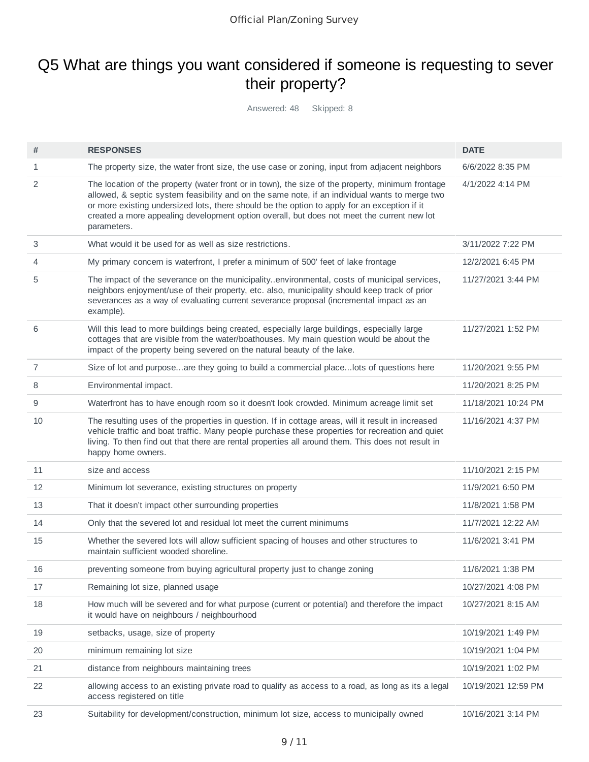# Q5 What are things you want considered if someone is requesting to sever their property?

Answered: 48 Skipped: 8

| #  | <b>RESPONSES</b>                                                                                                                                                                                                                                                                                                                                                                                                 | <b>DATE</b>         |
|----|------------------------------------------------------------------------------------------------------------------------------------------------------------------------------------------------------------------------------------------------------------------------------------------------------------------------------------------------------------------------------------------------------------------|---------------------|
| 1  | The property size, the water front size, the use case or zoning, input from adjacent neighbors                                                                                                                                                                                                                                                                                                                   | 6/6/2022 8:35 PM    |
| 2  | The location of the property (water front or in town), the size of the property, minimum frontage<br>allowed, & septic system feasibility and on the same note, if an individual wants to merge two<br>or more existing undersized lots, there should be the option to apply for an exception if it<br>created a more appealing development option overall, but does not meet the current new lot<br>parameters. | 4/1/2022 4:14 PM    |
| 3  | What would it be used for as well as size restrictions.                                                                                                                                                                                                                                                                                                                                                          | 3/11/2022 7:22 PM   |
| 4  | My primary concern is waterfront, I prefer a minimum of 500' feet of lake frontage                                                                                                                                                                                                                                                                                                                               | 12/2/2021 6:45 PM   |
| 5  | The impact of the severance on the municipalityenvironmental, costs of municipal services,<br>neighbors enjoyment/use of their property, etc. also, municipality should keep track of prior<br>severances as a way of evaluating current severance proposal (incremental impact as an<br>example).                                                                                                               | 11/27/2021 3:44 PM  |
| 6  | Will this lead to more buildings being created, especially large buildings, especially large<br>cottages that are visible from the water/boathouses. My main question would be about the<br>impact of the property being severed on the natural beauty of the lake.                                                                                                                                              | 11/27/2021 1:52 PM  |
| 7  | Size of lot and purposeare they going to build a commercial placelots of questions here                                                                                                                                                                                                                                                                                                                          | 11/20/2021 9:55 PM  |
| 8  | Environmental impact.                                                                                                                                                                                                                                                                                                                                                                                            | 11/20/2021 8:25 PM  |
| 9  | Waterfront has to have enough room so it doesn't look crowded. Minimum acreage limit set                                                                                                                                                                                                                                                                                                                         | 11/18/2021 10:24 PM |
| 10 | The resulting uses of the properties in question. If in cottage areas, will it result in increased<br>vehicle traffic and boat traffic. Many people purchase these properties for recreation and quiet<br>living. To then find out that there are rental properties all around them. This does not result in<br>happy home owners.                                                                               | 11/16/2021 4:37 PM  |
| 11 | size and access                                                                                                                                                                                                                                                                                                                                                                                                  | 11/10/2021 2:15 PM  |
| 12 | Minimum lot severance, existing structures on property                                                                                                                                                                                                                                                                                                                                                           | 11/9/2021 6:50 PM   |
| 13 | That it doesn't impact other surrounding properties                                                                                                                                                                                                                                                                                                                                                              | 11/8/2021 1:58 PM   |
| 14 | Only that the severed lot and residual lot meet the current minimums                                                                                                                                                                                                                                                                                                                                             | 11/7/2021 12:22 AM  |
| 15 | Whether the severed lots will allow sufficient spacing of houses and other structures to<br>maintain sufficient wooded shoreline.                                                                                                                                                                                                                                                                                | 11/6/2021 3:41 PM   |
| 16 | preventing someone from buying agricultural property just to change zoning                                                                                                                                                                                                                                                                                                                                       | 11/6/2021 1:38 PM   |
| 17 | Remaining lot size, planned usage                                                                                                                                                                                                                                                                                                                                                                                | 10/27/2021 4:08 PM  |
| 18 | How much will be severed and for what purpose (current or potential) and therefore the impact<br>it would have on neighbours / neighbourhood                                                                                                                                                                                                                                                                     | 10/27/2021 8:15 AM  |
| 19 | setbacks, usage, size of property                                                                                                                                                                                                                                                                                                                                                                                | 10/19/2021 1:49 PM  |
| 20 | minimum remaining lot size                                                                                                                                                                                                                                                                                                                                                                                       | 10/19/2021 1:04 PM  |
| 21 | distance from neighbours maintaining trees                                                                                                                                                                                                                                                                                                                                                                       | 10/19/2021 1:02 PM  |
| 22 | allowing access to an existing private road to qualify as access to a road, as long as its a legal<br>access registered on title                                                                                                                                                                                                                                                                                 | 10/19/2021 12:59 PM |
| 23 | Suitability for development/construction, minimum lot size, access to municipally owned                                                                                                                                                                                                                                                                                                                          | 10/16/2021 3:14 PM  |